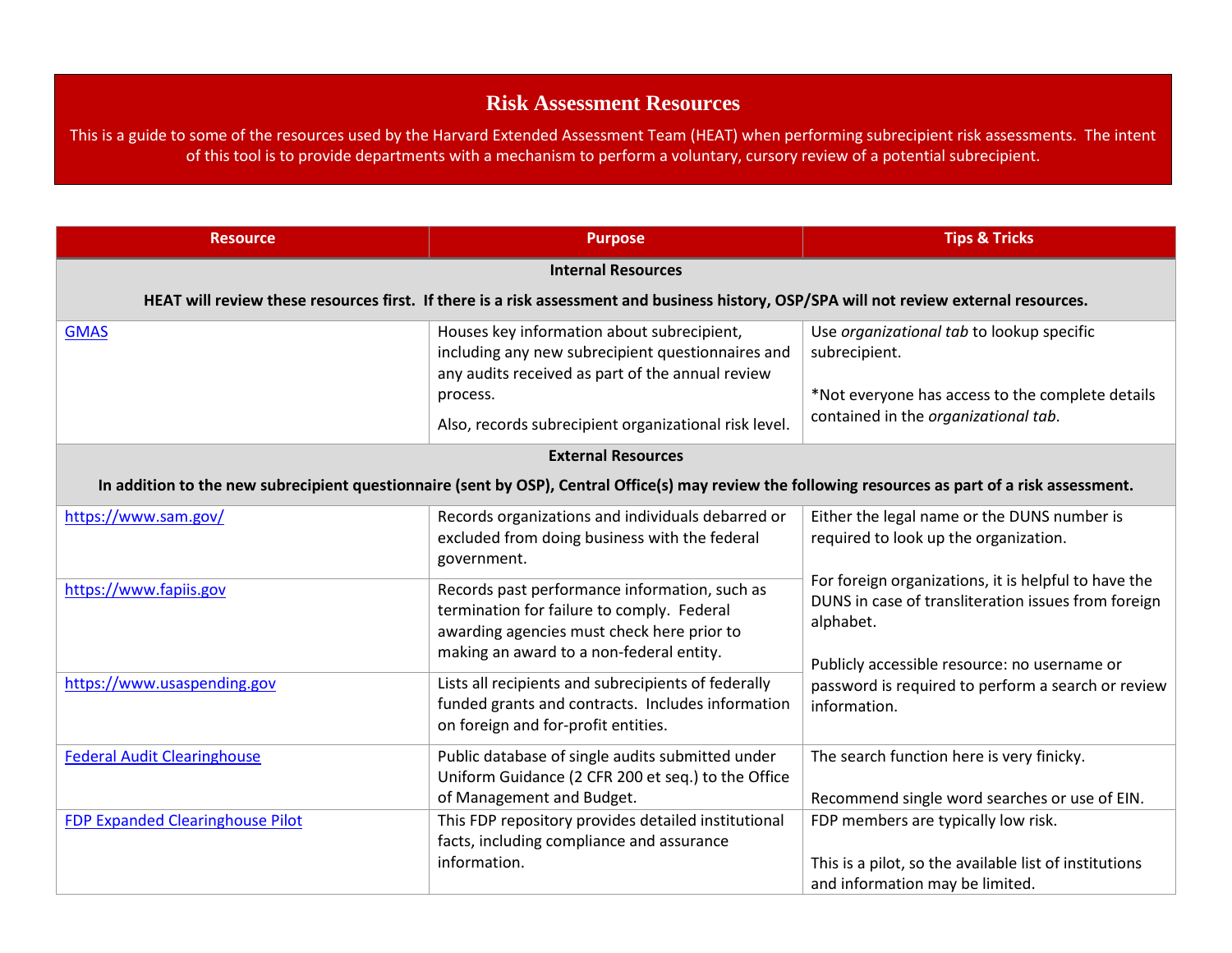## **Risk Assessment Resources**

This is a guide to some of the resources used by the Harvard Extended Assessment Team (HEAT) when performing subrecipient risk assessments. The intent of this tool is to provide departments with a mechanism to perform a voluntary, cursory review of a potential subrecipient.

| <b>Resource</b>                                                                                                                                     | <b>Purpose</b>                                                                                                                                                                                                           | <b>Tips &amp; Tricks</b>                                                                                                                                                 |  |
|-----------------------------------------------------------------------------------------------------------------------------------------------------|--------------------------------------------------------------------------------------------------------------------------------------------------------------------------------------------------------------------------|--------------------------------------------------------------------------------------------------------------------------------------------------------------------------|--|
| <b>Internal Resources</b>                                                                                                                           |                                                                                                                                                                                                                          |                                                                                                                                                                          |  |
| HEAT will review these resources first. If there is a risk assessment and business history, OSP/SPA will not review external resources.             |                                                                                                                                                                                                                          |                                                                                                                                                                          |  |
| <b>GMAS</b>                                                                                                                                         | Houses key information about subrecipient,<br>including any new subrecipient questionnaires and<br>any audits received as part of the annual review<br>process.<br>Also, records subrecipient organizational risk level. | Use organizational tab to lookup specific<br>subrecipient.<br>*Not everyone has access to the complete details<br>contained in the organizational tab.                   |  |
| <b>External Resources</b>                                                                                                                           |                                                                                                                                                                                                                          |                                                                                                                                                                          |  |
| In addition to the new subrecipient questionnaire (sent by OSP), Central Office(s) may review the following resources as part of a risk assessment. |                                                                                                                                                                                                                          |                                                                                                                                                                          |  |
| https://www.sam.gov/                                                                                                                                | Records organizations and individuals debarred or<br>excluded from doing business with the federal<br>government.                                                                                                        | Either the legal name or the DUNS number is<br>required to look up the organization.                                                                                     |  |
| https://www.fapiis.gov                                                                                                                              | Records past performance information, such as<br>termination for failure to comply. Federal<br>awarding agencies must check here prior to<br>making an award to a non-federal entity.                                    | For foreign organizations, it is helpful to have the<br>DUNS in case of transliteration issues from foreign<br>alphabet.<br>Publicly accessible resource: no username or |  |
| https://www.usaspending.gov                                                                                                                         | Lists all recipients and subrecipients of federally<br>funded grants and contracts. Includes information<br>on foreign and for-profit entities.                                                                          | password is required to perform a search or review<br>information.                                                                                                       |  |
| <b>Federal Audit Clearinghouse</b>                                                                                                                  | Public database of single audits submitted under<br>Uniform Guidance (2 CFR 200 et seq.) to the Office<br>of Management and Budget.                                                                                      | The search function here is very finicky.<br>Recommend single word searches or use of EIN.                                                                               |  |
| <b>FDP Expanded Clearinghouse Pilot</b>                                                                                                             | This FDP repository provides detailed institutional<br>facts, including compliance and assurance<br>information.                                                                                                         | FDP members are typically low risk.<br>This is a pilot, so the available list of institutions<br>and information may be limited.                                         |  |